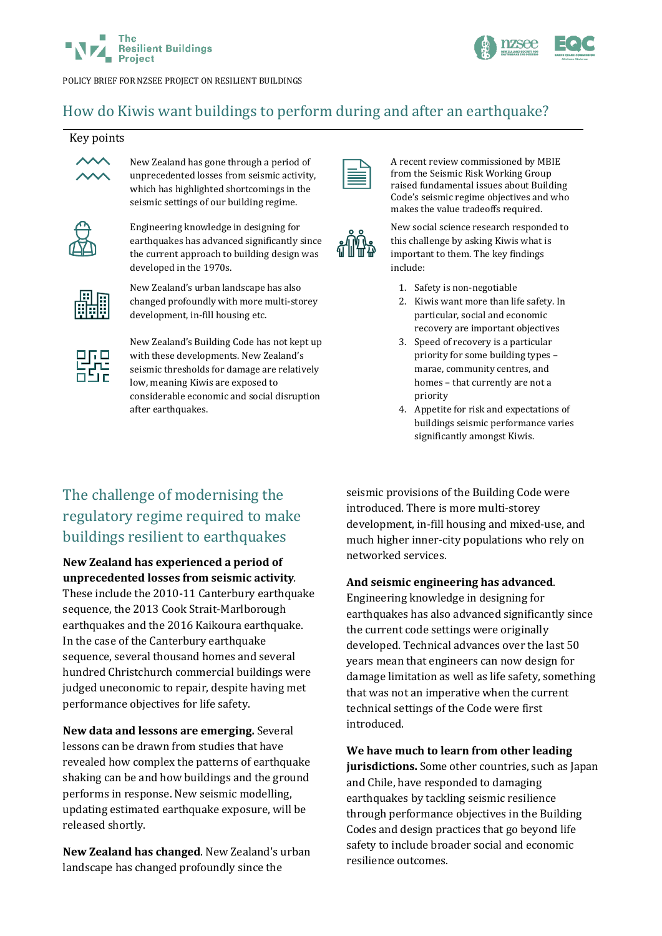



POLICY BRIEF FOR NZSEE PROJECT ON RESILIENT BUILDINGS

# How do Kiwis want buildings to perform during and after an earthquake?

#### Key points



New Zealand has gone through a period of unprecedented losses from seismic activity, which has highlighted shortcomings in the seismic settings of our building regime.



Engineering knowledge in designing for earthquakes has advanced significantly since the current approach to building design was developed in the 1970s.



New Zealand's urban landscape has also changed profoundly with more multi-storey development, in-fill housing etc.



New Zealand's Building Code has not kept up with these developments. New Zealand's seismic thresholds for damage are relatively low, meaning Kiwis are exposed to considerable economic and social disruption after earthquakes.

| _ |  |
|---|--|
|   |  |
|   |  |

A recent review commissioned by MBIE from the Seismic Risk Working Group raised fundamental issues about Building Code's seismic regime objectives and who makes the value tradeoffs required.

New social science research responded to this challenge by asking Kiwis what is important to them. The key findings include:

- 1. Safety is non-negotiable
- 2. Kiwis want more than life safety. In particular, social and economic recovery are important objectives
- 3. Speed of recovery is a particular priority for some building types – marae, community centres, and homes – that currently are not a priority
- 4. Appetite for risk and expectations of buildings seismic performance varies significantly amongst Kiwis.

# The challenge of modernising the regulatory regime required to make buildings resilient to earthquakes

**New Zealand has experienced a period of unprecedented losses from seismic activity***.*

These include the 2010-11 Canterbury earthquake sequence, the 2013 Cook Strait-Marlborough earthquakes and the 2016 Kaikoura earthquake. In the case of the Canterbury earthquake sequence, several thousand homes and several hundred Christchurch commercial buildings were judged uneconomic to repair, despite having met performance objectives for life safety.

**New data and lessons are emerging.** Several lessons can be drawn from studies that have revealed how complex the patterns of earthquake shaking can be and how buildings and the ground performs in response. New seismic modelling, updating estimated earthquake exposure, will be released shortly.

**New Zealand has changed**. New Zealand's urban landscape has changed profoundly since the

seismic provisions of the Building Code were introduced. There is more multi-storey development, in-fill housing and mixed-use, and much higher inner-city populations who rely on networked services.

#### **And seismic engineering has advanced**.

Engineering knowledge in designing for earthquakes has also advanced significantly since the current code settings were originally developed. Technical advances over the last 50 years mean that engineers can now design for damage limitation as well as life safety, something that was not an imperative when the current technical settings of the Code were first introduced.

**We have much to learn from other leading jurisdictions.** Some other countries, such as Japan and Chile, have responded to damaging earthquakes by tackling seismic resilience through performance objectives in the Building Codes and design practices that go beyond life safety to include broader social and economic resilience outcomes.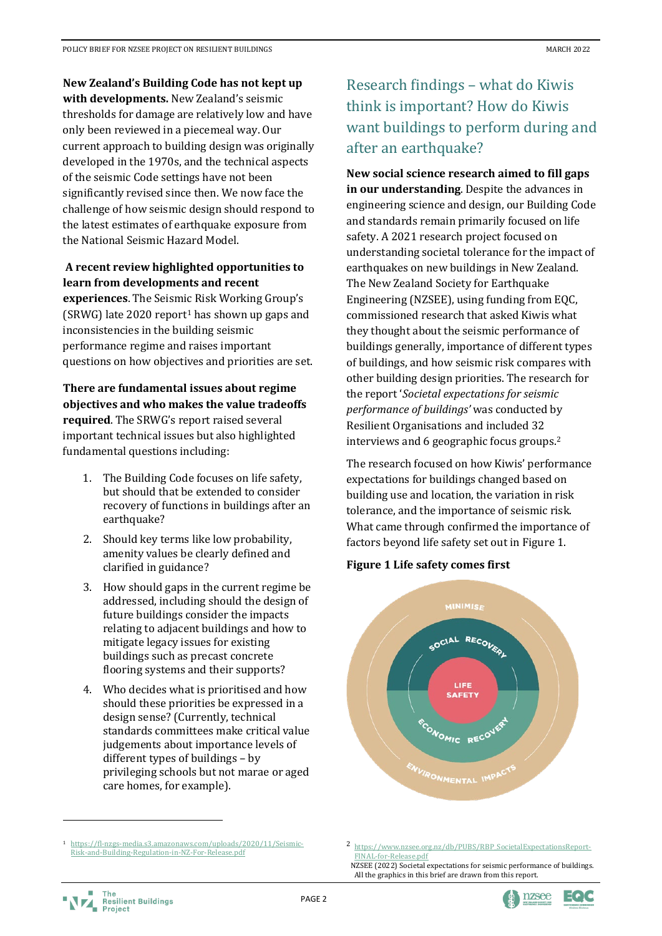**New Zealand's Building Code has not kept up** 

**with developments.** New Zealand's seismic thresholds for damage are relatively low and have only been reviewed in a piecemeal way. Our current approach to building design was originally developed in the 1970s, and the technical aspects of the seismic Code settings have not been significantly revised since then. We now face the challenge of how seismic design should respond to the latest estimates of earthquake exposure from the National Seismic Hazard Model.

### **A recent review highlighted opportunities to learn from developments and recent**

**experiences**. The Seismic Risk Working Group's  $(SRWG)$  late 2020 report<sup>[1](#page-1-0)</sup> has shown up gaps and inconsistencies in the building seismic performance regime and raises important questions on how objectives and priorities are set.

**There are fundamental issues about regime objectives and who makes the value tradeoffs required**. The SRWG's report raised several important technical issues but also highlighted fundamental questions including:

- 1. The Building Code focuses on life safety, but should that be extended to consider recovery of functions in buildings after an earthquake?
- 2. Should key terms like low probability, amenity values be clearly defined and clarified in guidance?
- 3. How should gaps in the current regime be addressed, including should the design of future buildings consider the impacts relating to adjacent buildings and how to mitigate legacy issues for existing buildings such as precast concrete flooring systems and their supports?
- 4. Who decides what is prioritised and how should these priorities be expressed in a design sense? (Currently, technical standards committees make critical value judgements about importance levels of different types of buildings – by privileging schools but not marae or aged care homes, for example).

# Research findings – what do Kiwis think is important? How do Kiwis want buildings to perform during and after an earthquake?

**New social science research aimed to fill gaps in our understanding**. Despite the advances in engineering science and design, our Building Code and standards remain primarily focused on life safety. A 2021 research project focused on understanding societal tolerance for the impact of earthquakes on new buildings in New Zealand. The New Zealand Society for Earthquake Engineering (NZSEE), using funding from EQC, commissioned research that asked Kiwis what they thought about the seismic performance of buildings generally, importance of different types of buildings, and how seismic risk compares with other building design priorities. The research for the report '*Societal expectations for seismic performance of buildings'* was conducted by Resilient Organisations and included 32 interviews and 6 geographic focus groups. [2](#page-1-0)

The research focused on how Kiwis' performance expectations for buildings changed based on building use and location, the variation in risk tolerance, and the importance of seismic risk. What came through confirmed the importance of factors beyond life safety set out in Figure 1.

### **Figure 1 Life safety comes first**



<sup>2</sup> [https://www.nzsee.org.nz/db/PUBS/RBP\\_SocietalExpectationsReport-](https://www.nzsee.org.nz/db/PUBS/RBP_SocietalExpectationsReport-FINAL-for-Release.pdf)[FINAL-for-Release.pdf](https://www.nzsee.org.nz/db/PUBS/RBP_SocietalExpectationsReport-FINAL-for-Release.pdf)

<span id="page-1-0"></span><sup>1</sup> [https://fl-nzgs-media.s3.amazonaws.com/uploads/2020/11/Seismic-](https://fl-nzgs-media.s3.amazonaws.com/uploads/2020/11/Seismic-Risk-and-Building-Regulation-in-NZ-For-Release.pdf)[Risk-and-Building-Regulation-in-NZ-For-Release.pdf](https://fl-nzgs-media.s3.amazonaws.com/uploads/2020/11/Seismic-Risk-and-Building-Regulation-in-NZ-For-Release.pdf)





NZSEE (2022) Societal expectations for seismic performance of buildings. All the graphics in this brief are drawn from this report.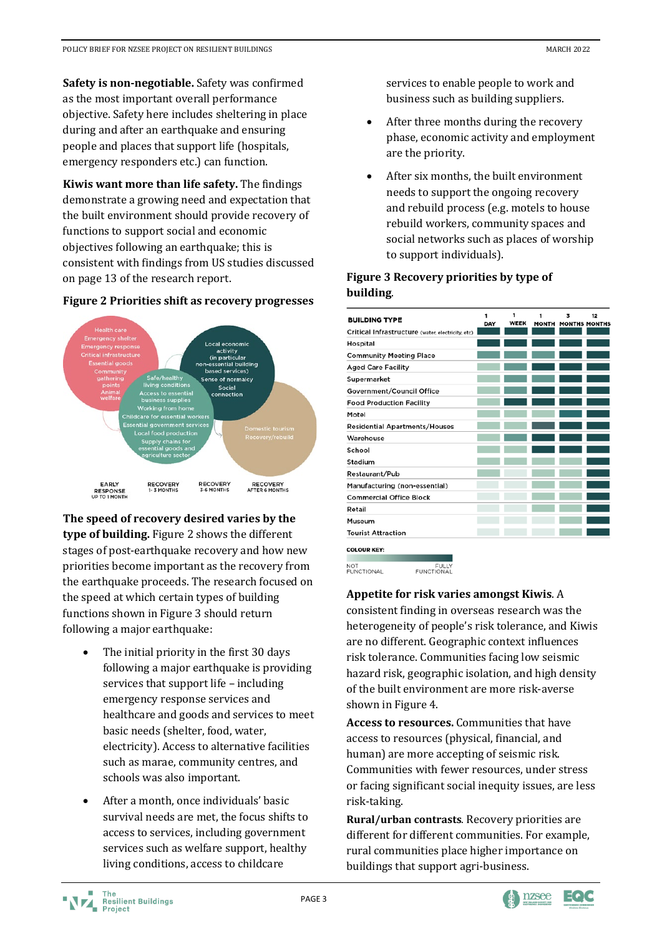**Safety is non-negotiable.** Safety was confirmed as the most important overall performance objective. Safety here includes sheltering in place during and after an earthquake and ensuring people and places that support life (hospitals, emergency responders etc.) can function.

**Kiwis want more than life safety.** The findings demonstrate a growing need and expectation that the built environment should provide recovery of functions to support social and economic objectives following an earthquake; this is consistent with findings from US studies discussed on page 13 of the research report.



#### **Figure 2 Priorities shift as recovery progresses**

**The speed of recovery desired varies by the type of building.** Figure 2 shows the different stages of post-earthquake recovery and how new priorities become important as the recovery from the earthquake proceeds. The research focused on the speed at which certain types of building functions shown in Figure 3 should return following a major earthquake:

- The initial priority in the first 30 days following a major earthquake is providing services that support life – including emergency response services and healthcare and goods and services to meet basic needs (shelter, food, water, electricity). Access to alternative facilities such as marae, community centres, and schools was also important.
- After a month, once individuals' basic survival needs are met, the focus shifts to access to services, including government services such as welfare support, healthy living conditions, access to childcare

services to enable people to work and business such as building suppliers.

- After three months during the recovery phase, economic activity and employment are the priority.
- After six months, the built environment needs to support the ongoing recovery and rebuild process (e.g. motels to house rebuild workers, community spaces and social networks such as places of worship to support individuals).

## **Figure 3 Recovery priorities by type of building**.

| <b>BUILDING TYPE</b>                                                              | 1<br>DAY | 1<br><b>WEEK</b> | 1<br><b>MONTH</b> | 3<br><b>MONTHS MONTHS</b> | 12 |
|-----------------------------------------------------------------------------------|----------|------------------|-------------------|---------------------------|----|
| Critical Infrastructure (water, electricity, etc)                                 |          |                  |                   |                           |    |
| Hospital                                                                          |          |                  |                   |                           |    |
| <b>Community Meeting Place</b>                                                    |          |                  |                   |                           |    |
| <b>Aged Care Facility</b>                                                         |          |                  |                   |                           |    |
| Supermarket                                                                       |          |                  |                   |                           |    |
| Government/Council Office                                                         |          |                  |                   |                           |    |
| <b>Food Production Facility</b>                                                   |          |                  |                   |                           |    |
| Motel                                                                             |          |                  |                   |                           |    |
| <b>Residential Apartments/Houses</b>                                              |          |                  |                   |                           |    |
| Warehouse                                                                         |          |                  |                   |                           |    |
| School                                                                            |          |                  |                   |                           |    |
| Stadium                                                                           |          |                  |                   |                           |    |
| Restaurant/Pub                                                                    |          |                  |                   |                           |    |
| Manufacturing (non-essential)                                                     |          |                  |                   |                           |    |
| <b>Commercial Office Block</b>                                                    |          |                  |                   |                           |    |
| Retail                                                                            |          |                  |                   |                           |    |
| Museum                                                                            |          |                  |                   |                           |    |
| <b>Tourist Attraction</b>                                                         |          |                  |                   |                           |    |
| <b>COLOUR KEY:</b><br><b>NOT</b><br>FULLY<br><b>ELINICTIONAL</b><br>ELINICTIONIAL |          |                  |                   |                           |    |

#### **Appetite for risk varies amongst Kiwis**. A

consistent finding in overseas research was the heterogeneity of people's risk tolerance, and Kiwis are no different. Geographic context influences risk tolerance. Communities facing low seismic hazard risk, geographic isolation, and high density of the built environment are more risk-averse shown in Figure 4.

**Access to resources.** Communities that have access to resources (physical, financial, and human) are more accepting of seismic risk. Communities with fewer resources, under stress or facing significant social inequity issues, are less risk-taking.

**Rural/urban contrasts**. Recovery priorities are different for different communities. For example, rural communities place higher importance on buildings that support agri-business.

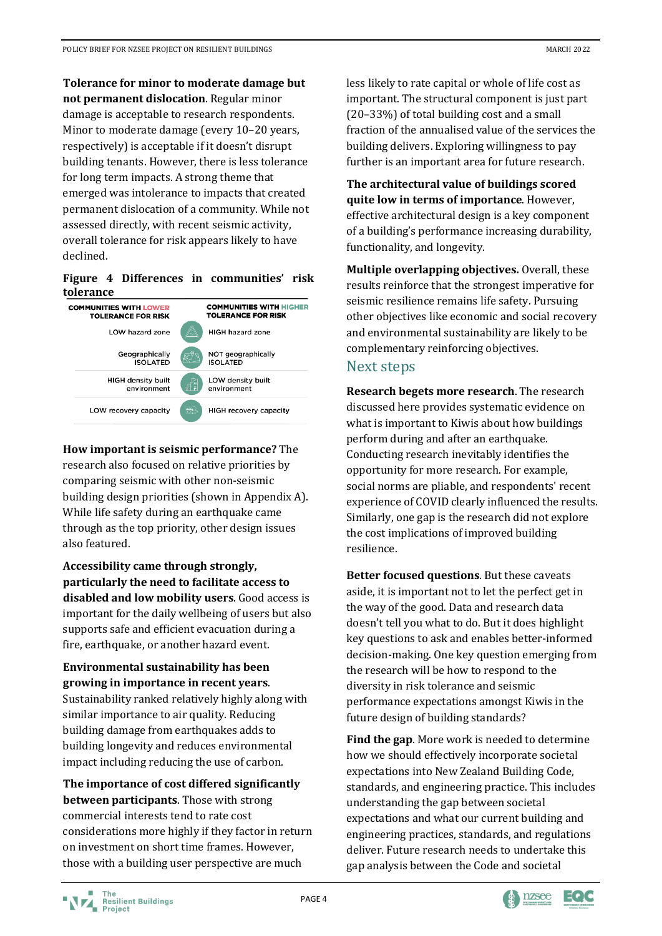**Tolerance for minor to moderate damage but not permanent dislocation**. Regular minor damage is acceptable to research respondents. Minor to moderate damage (every 10–20 years, respectively) is acceptable if it doesn't disrupt building tenants. However, there is less tolerance for long term impacts. A strong theme that emerged was intolerance to impacts that created permanent dislocation of a community. While not assessed directly, with recent seismic activity, overall tolerance for risk appears likely to have declined.

#### **Figure 4 Differences in communities' risk tolerance**



**How important is seismic performance?** The research also focused on relative priorities by comparing seismic with other non-seismic building design priorities (shown in Appendix A). While life safety during an earthquake came through as the top priority, other design issues also featured.

**Accessibility came through strongly, particularly the need to facilitate access to disabled and low mobility users**. Good access is important for the daily wellbeing of users but also supports safe and efficient evacuation during a fire, earthquake, or another hazard event.

**Environmental sustainability has been growing in importance in recent years**. Sustainability ranked relatively highly along with similar importance to air quality. Reducing building damage from earthquakes adds to building longevity and reduces environmental impact including reducing the use of carbon.

**The importance of cost differed significantly between participants**. Those with strong commercial interests tend to rate cost considerations more highly if they factor in return on investment on short time frames. However, those with a building user perspective are much

less likely to rate capital or whole of life cost as important. The structural component is just part (20–33%) of total building cost and a small fraction of the annualised value of the services the building delivers. Exploring willingness to pay further is an important area for future research.

**The architectural value of buildings scored quite low in terms of importance**. However, effective architectural design is a key component of a building's performance increasing durability, functionality, and longevity.

**Multiple overlapping objectives.** Overall, these results reinforce that the strongest imperative for seismic resilience remains life safety. Pursuing other objectives like economic and social recovery and environmental sustainability are likely to be complementary reinforcing objectives.

## Next steps

**Research begets more research**. The research discussed here provides systematic evidence on what is important to Kiwis about how buildings perform during and after an earthquake. Conducting research inevitably identifies the opportunity for more research. For example, social norms are pliable, and respondents' recent experience of COVID clearly influenced the results. Similarly, one gap is the research did not explore the cost implications of improved building resilience.

**Better focused questions**. But these caveats aside, it is important not to let the perfect get in the way of the good. Data and research data doesn't tell you what to do. But it does highlight key questions to ask and enables better-informed decision-making. One key question emerging from the research will be how to respond to the diversity in risk tolerance and seismic performance expectations amongst Kiwis in the future design of building standards?

**Find the gap**. More work is needed to determine how we should effectively incorporate societal expectations into New Zealand Building Code, standards, and engineering practice. This includes understanding the gap between societal expectations and what our current building and engineering practices, standards, and regulations deliver. Future research needs to undertake this gap analysis between the Code and societal